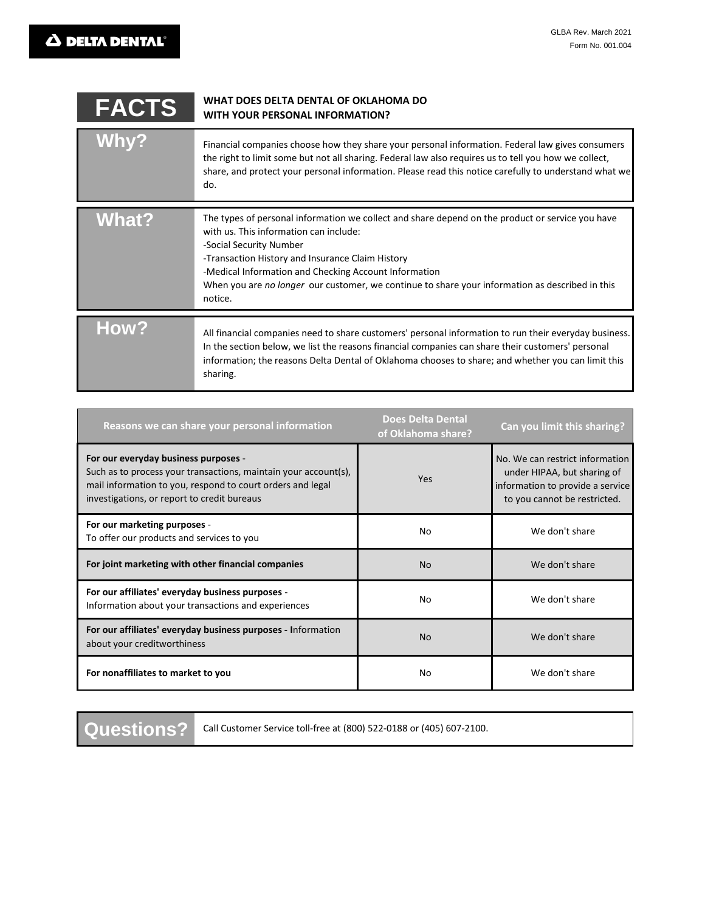| <b>FACTS</b> | WHAT DOES DELTA DENTAL OF OKLAHOMA DO<br><b>WITH YOUR PERSONAL INFORMATION?</b>                                                                                                                                                                                                                                                                                                                  |
|--------------|--------------------------------------------------------------------------------------------------------------------------------------------------------------------------------------------------------------------------------------------------------------------------------------------------------------------------------------------------------------------------------------------------|
| <b>Whv?</b>  | Financial companies choose how they share your personal information. Federal law gives consumers<br>the right to limit some but not all sharing. Federal law also requires us to tell you how we collect,<br>share, and protect your personal information. Please read this notice carefully to understand what we<br>do.                                                                        |
| <b>What?</b> | The types of personal information we collect and share depend on the product or service you have<br>with us. This information can include:<br>-Social Security Number<br>-Transaction History and Insurance Claim History<br>-Medical Information and Checking Account Information<br>When you are no longer our customer, we continue to share your information as described in this<br>notice. |
| <b>How?</b>  | All financial companies need to share customers' personal information to run their everyday business.<br>In the section below, we list the reasons financial companies can share their customers' personal<br>information; the reasons Delta Dental of Oklahoma chooses to share; and whether you can limit this<br>sharing.                                                                     |

| Reasons we can share your personal information                                                                                                                                                                       | <b>Does Delta Dental</b><br>of Oklahoma share? | Can you limit this sharing?                                                                                                        |
|----------------------------------------------------------------------------------------------------------------------------------------------------------------------------------------------------------------------|------------------------------------------------|------------------------------------------------------------------------------------------------------------------------------------|
| For our everyday business purposes -<br>Such as to process your transactions, maintain your account(s),<br>mail information to you, respond to court orders and legal<br>investigations, or report to credit bureaus | Yes                                            | No. We can restrict information<br>under HIPAA, but sharing of<br>information to provide a service<br>to you cannot be restricted. |
| For our marketing purposes -<br>To offer our products and services to you                                                                                                                                            | No                                             | We don't share                                                                                                                     |
| For joint marketing with other financial companies                                                                                                                                                                   | <b>No</b>                                      | We don't share                                                                                                                     |
| For our affiliates' everyday business purposes -<br>Information about your transactions and experiences                                                                                                              | No                                             | We don't share                                                                                                                     |
| For our affiliates' everyday business purposes - Information<br>about your creditworthiness                                                                                                                          | <b>No</b>                                      | We don't share                                                                                                                     |
| For nonaffiliates to market to you                                                                                                                                                                                   | No                                             | We don't share                                                                                                                     |

**Questions?**

Call Customer Service toll-free at (800) 522-0188 or (405) 607-2100.